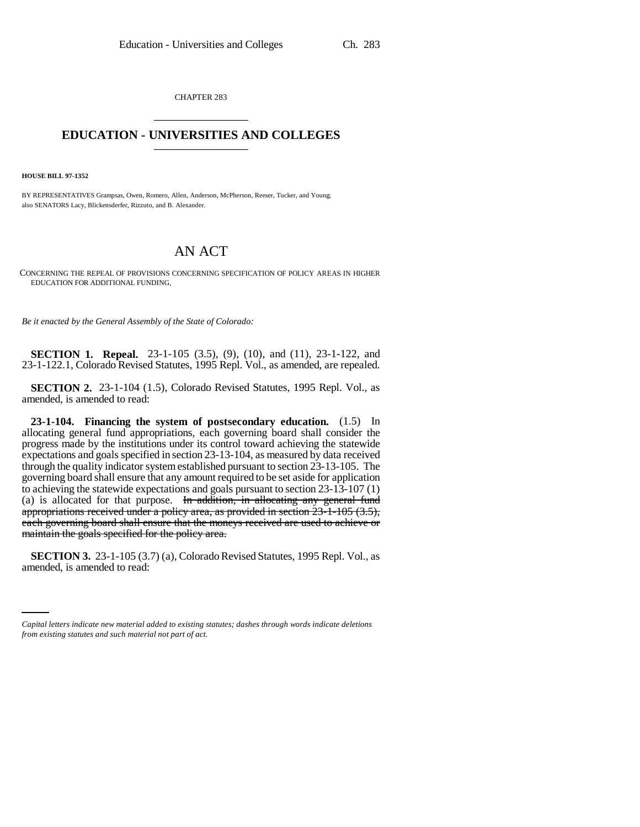CHAPTER 283 \_\_\_\_\_\_\_\_\_\_\_\_\_\_\_

## **EDUCATION - UNIVERSITIES AND COLLEGES** \_\_\_\_\_\_\_\_\_\_\_\_\_\_\_

**HOUSE BILL 97-1352**

BY REPRESENTATIVES Grampsas, Owen, Romero, Allen, Anderson, McPherson, Reeser, Tucker, and Young; also SENATORS Lacy, Blickensderfer, Rizzuto, and B. Alexander.

## AN ACT

CONCERNING THE REPEAL OF PROVISIONS CONCERNING SPECIFICATION OF POLICY AREAS IN HIGHER EDUCATION FOR ADDITIONAL FUNDING.

*Be it enacted by the General Assembly of the State of Colorado:*

**SECTION 1. Repeal.** 23-1-105 (3.5), (9), (10), and (11), 23-1-122, and 23-1-122.1, Colorado Revised Statutes, 1995 Repl. Vol., as amended, are repealed.

**SECTION 2.** 23-1-104 (1.5), Colorado Revised Statutes, 1995 Repl. Vol., as amended, is amended to read:

**23-1-104. Financing the system of postsecondary education.** (1.5) In allocating general fund appropriations, each governing board shall consider the progress made by the institutions under its control toward achieving the statewide expectations and goals specified in section 23-13-104, as measured by data received through the quality indicator system established pursuant to section 23-13-105. The governing board shall ensure that any amount required to be set aside for application to achieving the statewide expectations and goals pursuant to section 23-13-107 (1) (a) is allocated for that purpose. In addition, in allocating any general fund appropriations received under a policy area, as provided in section 23-1-105 (3.5), each governing board shall ensure that the moneys received are used to achieve or maintain the goals specified for the policy area.

 **SECTION 3.** 23-1-105 (3.7) (a), Colorado Revised Statutes, 1995 Repl. Vol., as amended, is amended to read:

*Capital letters indicate new material added to existing statutes; dashes through words indicate deletions from existing statutes and such material not part of act.*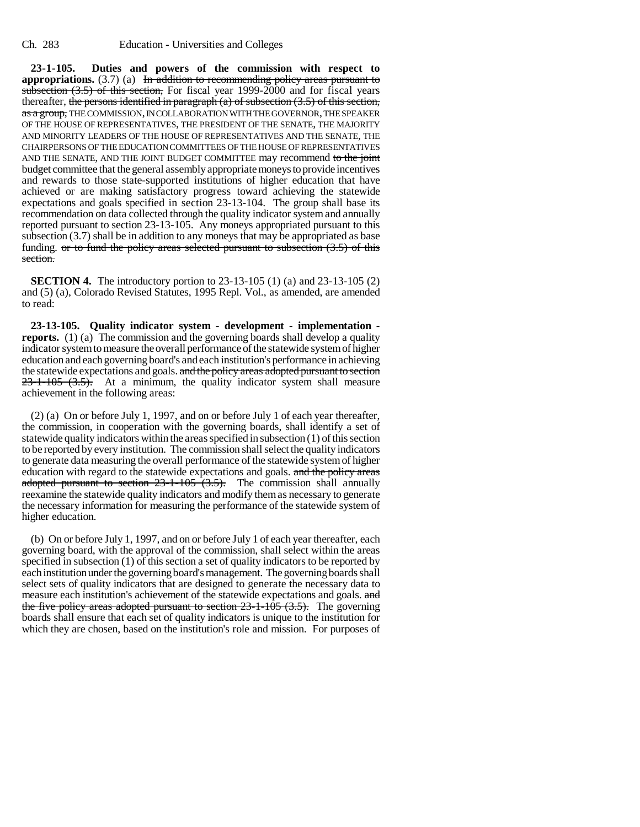**23-1-105. Duties and powers of the commission with respect to appropriations.** (3.7) (a) In addition to recommending policy areas pursuant to subsection  $(3.5)$  of this section, For fiscal year 1999-2000 and for fiscal years thereafter, the persons identified in paragraph  $(a)$  of subsection  $(3.5)$  of this section, as a group, THE COMMISSION, IN COLLABORATION WITH THE GOVERNOR, THE SPEAKER OF THE HOUSE OF REPRESENTATIVES, THE PRESIDENT OF THE SENATE, THE MAJORITY AND MINORITY LEADERS OF THE HOUSE OF REPRESENTATIVES AND THE SENATE, THE CHAIRPERSONS OF THE EDUCATION COMMITTEES OF THE HOUSE OF REPRESENTATIVES AND THE SENATE, AND THE JOINT BUDGET COMMITTEE may recommend to the joint budget committee that the general assembly appropriate moneys to provide incentives and rewards to those state-supported institutions of higher education that have achieved or are making satisfactory progress toward achieving the statewide expectations and goals specified in section 23-13-104. The group shall base its recommendation on data collected through the quality indicator system and annually reported pursuant to section 23-13-105. Any moneys appropriated pursuant to this subsection (3.7) shall be in addition to any moneys that may be appropriated as base funding. or to fund the policy areas selected pursuant to subsection  $(3.5)$  of this section.

**SECTION 4.** The introductory portion to 23-13-105 (1) (a) and 23-13-105 (2) and (5) (a), Colorado Revised Statutes, 1995 Repl. Vol., as amended, are amended to read:

**23-13-105. Quality indicator system - development - implementation reports.** (1) (a) The commission and the governing boards shall develop a quality indicator system to measure the overall performance of the statewide system of higher education and each governing board's and each institution's performance in achieving the statewide expectations and goals. and the policy areas adopted pursuant to section  $23-1-105$   $(3.5)$ . At a minimum, the quality indicator system shall measure achievement in the following areas:

(2) (a) On or before July 1, 1997, and on or before July 1 of each year thereafter, the commission, in cooperation with the governing boards, shall identify a set of statewide quality indicators within the areas specified in subsection (1) of this section to be reported by every institution. The commission shall select the quality indicators to generate data measuring the overall performance of the statewide system of higher education with regard to the statewide expectations and goals. and the policy areas adopted pursuant to section  $23-1-105$   $(3.5)$ . The commission shall annually reexamine the statewide quality indicators and modify them as necessary to generate the necessary information for measuring the performance of the statewide system of higher education.

(b) On or before July 1, 1997, and on or before July 1 of each year thereafter, each governing board, with the approval of the commission, shall select within the areas specified in subsection (1) of this section a set of quality indicators to be reported by each institution under the governing board's management. The governing boards shall select sets of quality indicators that are designed to generate the necessary data to measure each institution's achievement of the statewide expectations and goals. and the five policy areas adopted pursuant to section  $23-1-105$   $(3.5)$ . The governing boards shall ensure that each set of quality indicators is unique to the institution for which they are chosen, based on the institution's role and mission. For purposes of